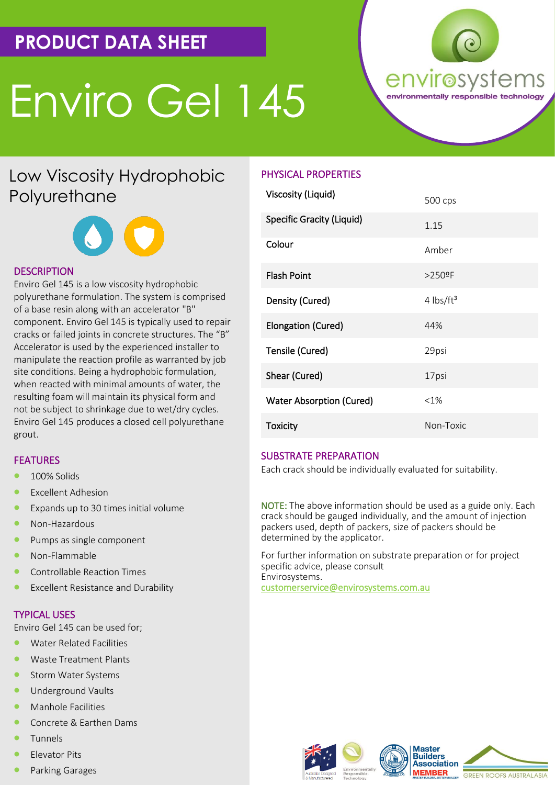# **PRODUCT DATA SHEET**

# Enviro Gel 145



## Low Viscosity Hydrophobic Polyurethane



### **DESCRIPTION**

Enviro Gel 145 is a low viscosity hydrophobic polyurethane formulation. The system is comprised of a base resin along with an accelerator "B" component. Enviro Gel 145 is typically used to repair cracks or failed joints in concrete structures. The "B" Accelerator is used by the experienced installer to manipulate the reaction profile as warranted by job site conditions. Being a hydrophobic formulation, when reacted with minimal amounts of water, the resulting foam will maintain its physical form and not be subject to shrinkage due to wet/dry cycles. Enviro Gel 145 produces a closed cell polyurethane grout.

#### **FEATURES**

- 100% Solids
- **Excellent Adhesion**
- Expands up to 30 times initial volume
- Non-Hazardous
- Pumps as single component
- Non-Flammable
- Controllable Reaction Times
- Excellent Resistance and Durability

#### TYPICAL USES

Enviro Gel 145 can be used for;

- Water Related Facilities
- Waste Treatment Plants
- Storm Water Systems
- Underground Vaults
- Manhole Facilities
- Concrete & Earthen Dams
- **Tunnels**
- Elevator Pits
- Parking Garages

### PHYSICAL PROPERTIES

| <b>Viscosity (Liquid)</b>       | 500 cps                 |
|---------------------------------|-------------------------|
| Specific Gracity (Liquid)       | 1.15                    |
| Colour                          | Amber                   |
| <b>Flash Point</b>              | $>250$ <sup>o</sup> F   |
| Density (Cured)                 | $4$ lbs/ft <sup>3</sup> |
| Elongation (Cured)              | 44%                     |
| Tensile (Cured)                 | 29psi                   |
| Shear (Cured)                   | 17psi                   |
| <b>Water Absorption (Cured)</b> | $<1\%$                  |
| <b>Toxicity</b>                 | Non-Toxic               |

#### SUBSTRATE PREPARATION

Each crack should be individually evaluated for suitability.

NOTE: The above information should be used as a guide only. Each crack should be gauged individually, and the amount of injection packers used, depth of packers, size of packers should be determined by the applicator.

For further information on substrate preparation or for project specific advice, please consult Envirosystems. customerservice@envirosystems.com.au